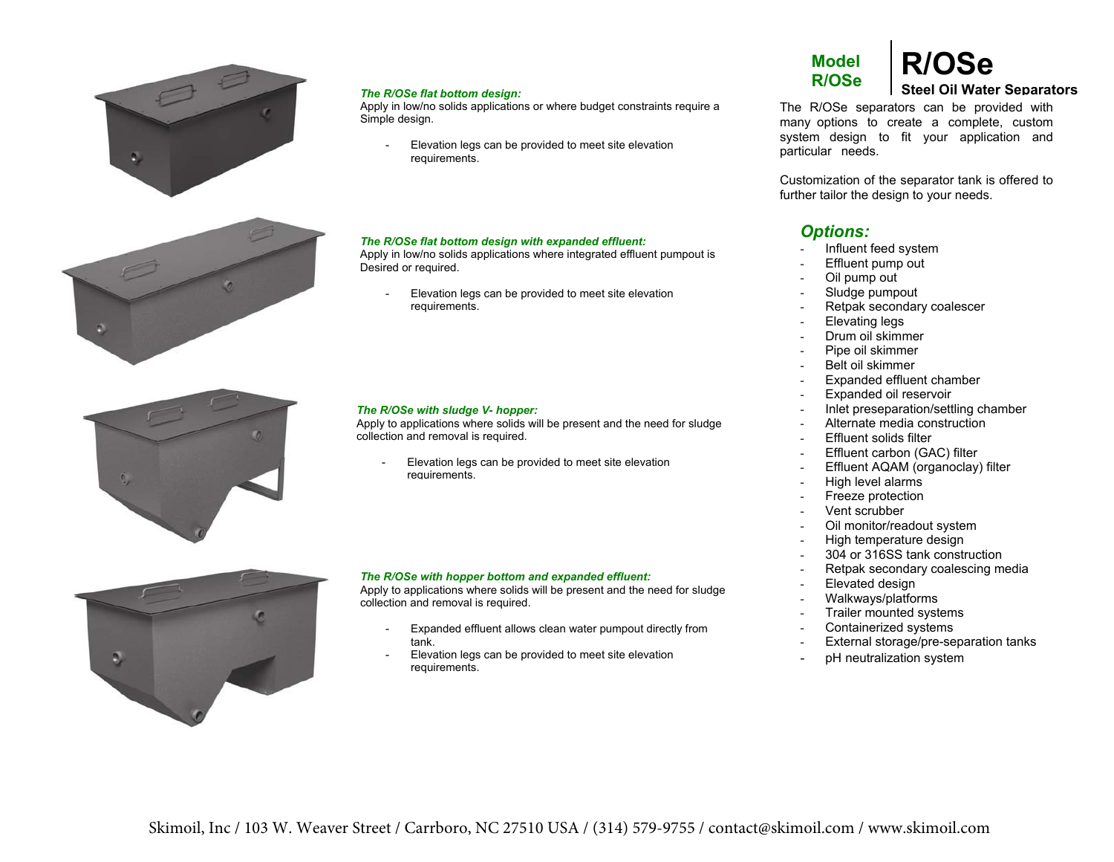

#### *The R/OSe flat bottom design:*

 Apply in low/no solids applications or where budget constraints require a Simple design.

- Elevation legs can be provided to meet site elevation requirements.

#### *The R/OSe flat bottom design with expanded effluent:*

Apply in low/no solids applications where integrated effluent pumpout is Desired or required.

 Elevation legs can be provided to meet site elevation requirements.



Apply to applications where solids will be present and the need for sludge collection and removal is required.

 Elevation legs can be provided to meet site elevation requirements.



#### *The R/OSe with hopper bottom and expanded effluent:*

 Apply to applications where solids will be present and the need for sludge collection and removal is required.

- Expanded effluent allows clean water pumpout directly from tank.
- Elevation legs can be provided to meet site elevation requirements.

# **Model**

# **R/OSe R/OSe Steel Oil Water Separators**

The R/OSe separators can be provided with many options to create a complete, custom system design to fit your application and particular needs.

Customization of the separator tank is offered to further tailor the design to your needs.

#### *Options:*

- Influent feed system
- Effluent pump out
- Oil pump out
- Sludge pumpout
- Retpak secondary coalescer
- Elevating legs
- Drum oil skimmer
- Pipe oil skimmer
- Belt oil skimmer
- Expanded effluent chamber
- Expanded oil reservoir
- Inlet preseparation/settling chamber
- Alternate media construction
- Effluent solids filter
- Effluent carbon (GAC) filter
- Effluent AQAM (organoclay) filter
- High level alarms
- Freeze protection
- Vent scrubber
- Oil monitor/readout system
- High temperature design
- 304 or 316SS tank construction
- Retpak secondary coalescing media
- Elevated design
- Walkways/platforms
- Trailer mounted systems
- Containerized systems
- External storage/pre-separation tanks
- pH neutralization system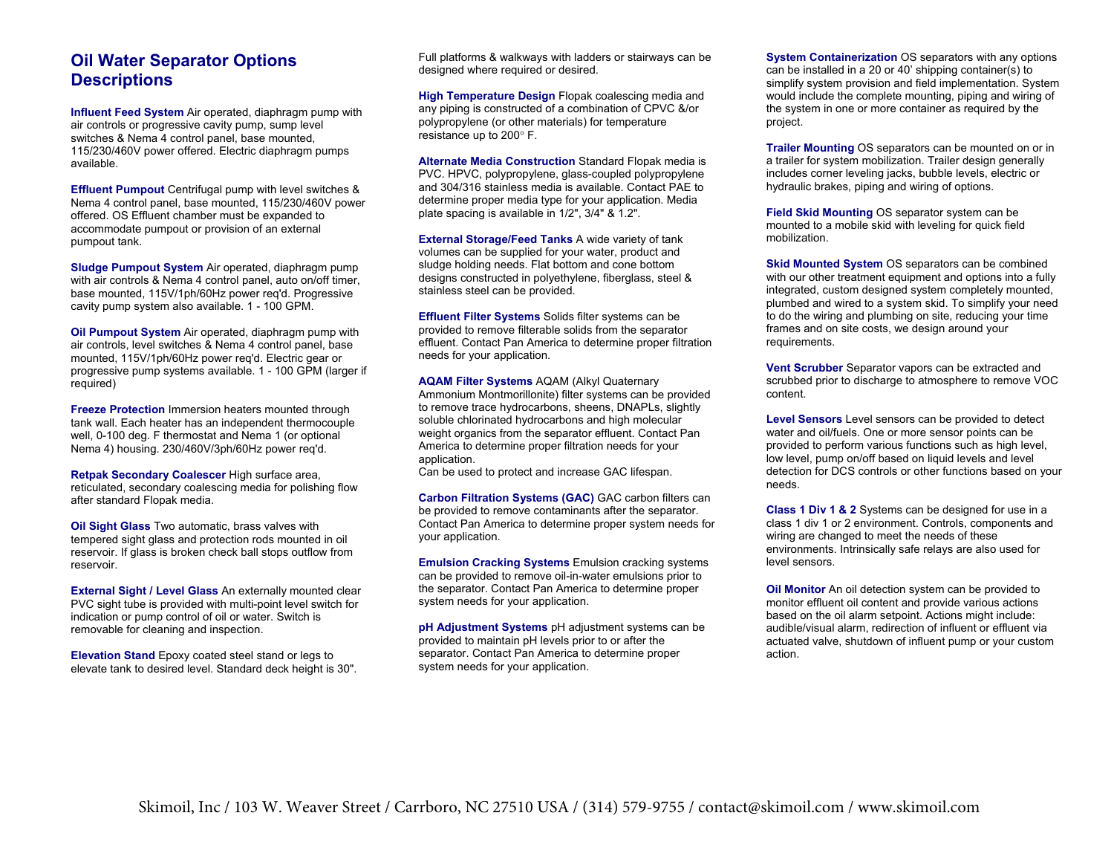#### **Oil Water Separator Options Descriptions**

**Influent Feed System** Air operated, diaphragm pump with air controls or progressive cavity pump, sump level switches & Nema 4 control panel, base mounted, 115/230/460V power offered. Electric diaphragm pumps available.

**Effluent Pumpout** Centrifugal pump with level switches & Nema 4 control panel, base mounted, 115/230/460V power offered. OS Effluent chamber must be expanded to accommodate pumpout or provision of an external pumpout tank.

**Sludge Pumpout System** Air operated, diaphragm pump with air controls & Nema 4 control panel, auto on/off timer, base mounted, 115V/1ph/60Hz power req'd. Progressive cavity pump system also available. 1 - 100 GPM.

**Oil Pumpout System** Air operated, diaphragm pump with air controls, level switches & Nema 4 control panel, base mounted, 115V/1ph/60Hz power req'd. Electric gear or progressive pump systems available. 1 - 100 GPM (larger if<br>roquirod) required)

**Freeze Protection** Immersion heaters mounted through tank wall. Each heater has an independent thermocouple well, 0-100 deg. F thermostat and Nema 1 (or optional Nema 4) housing. 230/460V/3ph/60Hz power req'd.

**Retpak Secondary Coalescer** High surface area, reticulated, secondary coalescing media for polishing flow after standard Flow-Thru media.

**Oil Sight Glass** Two automatic, brass valves with tempered sight glass and protection rods mounted in oil reservoir. If glass is broken check ball stops outflow from reservoir.

**External Sight / Level Glass** An externally mounted clear PVC sight tube is provided with multi-point level switch for indication or pump control of oil or water. Switch is removable for cleaning and inspection.

**Elevation Stand** Epoxy coated steel stand or legs to elevate tank to desired level. Standard deck height is 30".

Full platforms & walkways with ladders or stairways can be designed where required or desired.

**High Temperature Design** Flow-Thru coalescing media and any piping is constructed of a combination of CPVC &/ or polypropylene (or other materials) for temperature resistance up to 200° F.

**Alternate Media Construction**Standard Flow-Thru media is PVC. HPVC, polypropylene, glass-coupled polypropylene and 304/316 stainless media is available. Contact PAE to determine proper media type for your application. Media plate spacing is available in 1/2", 3/4" & 1.2".

**External Storage/Feed Tanks** A wide variety of tank volumes can be supplied for your water, product and sludge holding needs. Flat bottom and cone bottom designs constructed in polyethylene, fiberglass, steel & stainless steel can be provided.

**Effluent Filter Systems** Solids filter systems can be provided to remove filterable solids from the separator effluent. Contact SkimOIL to determine proper filtration needs for your application.

**AQAM Filter Systems** AQAM (Alkyl Quaternary Ammonium Montmorillonite) filter systems can be provided to remove trace hydrocarbons, sheens, DNAPLs, slightly soluble chlorinated hydrocarbons and high molecular weight organics from the separator effluent. Contact SkimOIL to determine proper filtration needs for your application.

Can be used to protect and increase GAC lifespan.

**Carbon Filtration Systems (GAC)** GAC carbon filters can be provided to remove contaminants after the separator. Contact SkimOIL to determine proper system needs for your application.

**Emulsion Cracking Systems** Emulsion cracking systems can be provided to remove oil-in-water emulsions prior to the separator. Contact SkimOIL to determine proper system needs for your application.

**pH Adjustment Systems** pH adjustment systems can be provided to maintain pH levels prior to or after the separator. Contact SkimOIL to determine proper system needs for your application.

**System Containerization** OS separators with any options can be installed in a 20 or 40' shipping container(s) to simplify system provision and field implementation. System would include the complete mounting, piping and wiring of the system in one or more container as required by the project.

**Trailer Mounting** OS separators can be mounted on or in a trailer for system mobilization. Trailer design generally includes corner leveling jacks, bubble levels, electric or hydraulic brakes, piping and wiring of options.

**Field Skid Mounting** OS separator system can be mounted to a mobile skid with leveling for quick field mobilization.

**Skid Mounted System** OS separators can be combined with our other treatment equipment and options into a fully integrated, custom designed system completely mounted, plumbed and wired to a system skid. To simplify your need to do the wiring and plumbing on site, reducing your time frames and on site costs, we design around your requirements.

**Vent Scrubber** Separator vapors can be extracted and scrubbed prior to discharge to atmosphere to remove VOC content.

**Level Sensors** Level sensors can be provided to detect water and oil/fuels. One or more sensor points can be provided to perform various functions such as high level, low level, pump on/off based on liquid levels and level detection for DCS controls or other functions based on your needs.

**Class 1 Div 1 & 2** Systems can be designed for use in a class 1 div 1 or 2 environment. Controls, components and wiring are changed to meet the needs of these environments. Intrinsically safe relays are also used for level sensors.

**Oil Monitor** An oil detection system can be provided to monitor effluent oil content and provide various actions based on the oil alarm setpoint. Actions might include: audible/visual alarm, redirection of influent or effluent via actuated valve, shutdown of influent pump or your custom action.